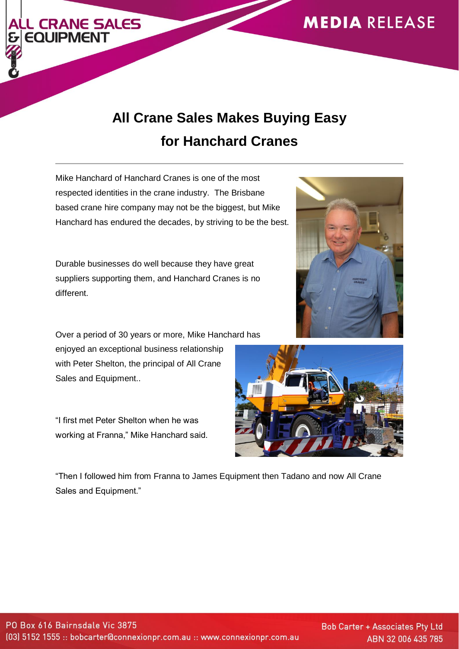

## **All Crane Sales Makes Buying Easy for Hanchard Cranes**

Mike Hanchard of Hanchard Cranes is one of the most respected identities in the crane industry. The Brisbane based crane hire company may not be the biggest, but Mike Hanchard has endured the decades, by striving to be the best.

**L CRANE SALES** 

**EOUIPMENT** 

Durable businesses do well because they have great suppliers supporting them, and Hanchard Cranes is no different.

Over a period of 30 years or more, Mike Hanchard has enjoyed an exceptional business relationship with Peter Shelton, the principal of All Crane Sales and Equipment..

"I first met Peter Shelton when he was working at Franna," Mike Hanchard said.

"Then I followed him from Franna to James Equipment then Tadano and now All Crane Sales and Equipment."





**Bob Carter + Associates Pty Ltd** ABN 32 006 435 785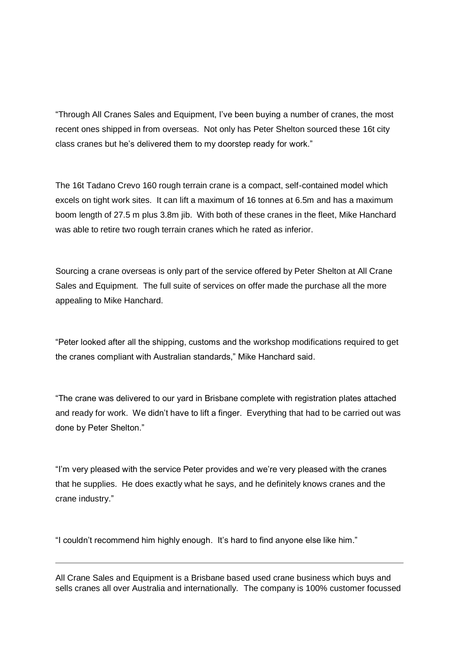"Through All Cranes Sales and Equipment, I've been buying a number of cranes, the most recent ones shipped in from overseas. Not only has Peter Shelton sourced these 16t city class cranes but he's delivered them to my doorstep ready for work."

The 16t Tadano Crevo 160 rough terrain crane is a compact, self-contained model which excels on tight work sites. It can lift a maximum of 16 tonnes at 6.5m and has a maximum boom length of 27.5 m plus 3.8m jib. With both of these cranes in the fleet, Mike Hanchard was able to retire two rough terrain cranes which he rated as inferior.

Sourcing a crane overseas is only part of the service offered by Peter Shelton at All Crane Sales and Equipment. The full suite of services on offer made the purchase all the more appealing to Mike Hanchard.

"Peter looked after all the shipping, customs and the workshop modifications required to get the cranes compliant with Australian standards," Mike Hanchard said.

"The crane was delivered to our yard in Brisbane complete with registration plates attached and ready for work. We didn't have to lift a finger. Everything that had to be carried out was done by Peter Shelton."

"I'm very pleased with the service Peter provides and we're very pleased with the cranes that he supplies. He does exactly what he says, and he definitely knows cranes and the crane industry."

"I couldn't recommend him highly enough. It's hard to find anyone else like him."

All Crane Sales and Equipment is a Brisbane based used crane business which buys and sells cranes all over Australia and internationally. The company is 100% customer focussed